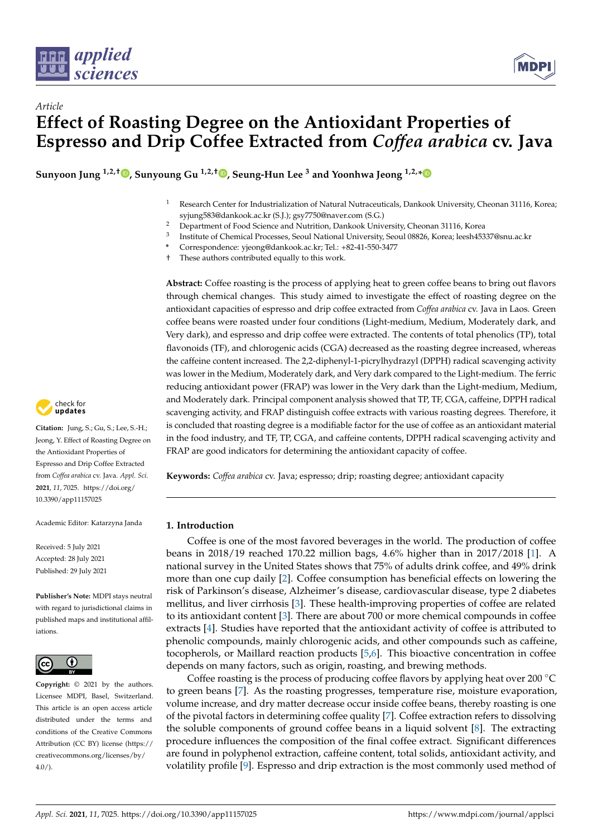

*Article*



# **Effect of Roasting Degree on the Antioxidant Properties of Espresso and Drip Coffee Extracted from** *Coffea arabica* **cv. Java**

**Sunyoon Jung 1,2,[†](https://orcid.org/0000-0001-9217-5649) , Sunyoung Gu 1,2,† [,](https://orcid.org/0000-0002-0070-2462) Seung-Hun Lee <sup>3</sup> and Yoonhwa Jeong 1,2,[\\*](https://orcid.org/0000-0001-5013-1728)**

- <sup>1</sup> Research Center for Industrialization of Natural Nutraceuticals, Dankook University, Cheonan 31116, Korea; syjung583@dankook.ac.kr (S.J.); gsy7750@naver.com (S.G.)
- <sup>2</sup> Department of Food Science and Nutrition, Dankook University, Cheonan 31116, Korea
- 3 Institute of Chemical Processes, Seoul National University, Seoul 08826, Korea; leesh45337@snu.ac.kr
- **\*** Correspondence: yjeong@dankook.ac.kr; Tel.: +82-41-550-3477
- † These authors contributed equally to this work.

**Abstract:** Coffee roasting is the process of applying heat to green coffee beans to bring out flavors through chemical changes. This study aimed to investigate the effect of roasting degree on the antioxidant capacities of espresso and drip coffee extracted from *Coffea arabica* cv. Java in Laos. Green coffee beans were roasted under four conditions (Light-medium, Medium, Moderately dark, and Very dark), and espresso and drip coffee were extracted. The contents of total phenolics (TP), total flavonoids (TF), and chlorogenic acids (CGA) decreased as the roasting degree increased, whereas the caffeine content increased. The 2,2-diphenyl-1-picrylhydrazyl (DPPH) radical scavenging activity was lower in the Medium, Moderately dark, and Very dark compared to the Light-medium. The ferric reducing antioxidant power (FRAP) was lower in the Very dark than the Light-medium, Medium, and Moderately dark. Principal component analysis showed that TP, TF, CGA, caffeine, DPPH radical scavenging activity, and FRAP distinguish coffee extracts with various roasting degrees. Therefore, it is concluded that roasting degree is a modifiable factor for the use of coffee as an antioxidant material in the food industry, and TF, TP, CGA, and caffeine contents, DPPH radical scavenging activity and FRAP are good indicators for determining the antioxidant capacity of coffee.

**Keywords:** *Coffea arabica* cv. Java; espresso; drip; roasting degree; antioxidant capacity

## **1. Introduction**

Coffee is one of the most favored beverages in the world. The production of coffee beans in 2018/19 reached 170.22 million bags, 4.6% higher than in 2017/2018 [\[1\]](#page-12-0). A national survey in the United States shows that 75% of adults drink coffee, and 49% drink more than one cup daily [\[2\]](#page-12-1). Coffee consumption has beneficial effects on lowering the risk of Parkinson's disease, Alzheimer's disease, cardiovascular disease, type 2 diabetes mellitus, and liver cirrhosis [\[3\]](#page-12-2). These health-improving properties of coffee are related to its antioxidant content [\[3\]](#page-12-2). There are about 700 or more chemical compounds in coffee extracts [\[4\]](#page-12-3). Studies have reported that the antioxidant activity of coffee is attributed to phenolic compounds, mainly chlorogenic acids, and other compounds such as caffeine, tocopherols, or Maillard reaction products [\[5,](#page-12-4)[6\]](#page-12-5). This bioactive concentration in coffee depends on many factors, such as origin, roasting, and brewing methods.

Coffee roasting is the process of producing coffee flavors by applying heat over 200 ◦C to green beans [\[7\]](#page-12-6). As the roasting progresses, temperature rise, moisture evaporation, volume increase, and dry matter decrease occur inside coffee beans, thereby roasting is one of the pivotal factors in determining coffee quality [\[7\]](#page-12-6). Coffee extraction refers to dissolving the soluble components of ground coffee beans in a liquid solvent [\[8\]](#page-12-7). The extracting procedure influences the composition of the final coffee extract. Significant differences are found in polyphenol extraction, caffeine content, total solids, antioxidant activity, and volatility profile [\[9\]](#page-12-8). Espresso and drip extraction is the most commonly used method of



**Citation:** Jung, S.; Gu, S.; Lee, S.-H.; Jeong, Y. Effect of Roasting Degree on the Antioxidant Properties of Espresso and Drip Coffee Extracted from *Coffea arabica* cv. Java. *Appl. Sci.* **2021**, *11*, 7025. [https://doi.org/](https://doi.org/10.3390/app11157025) [10.3390/app11157025](https://doi.org/10.3390/app11157025)

Academic Editor: Katarzyna Janda

Received: 5 July 2021 Accepted: 28 July 2021 Published: 29 July 2021

**Publisher's Note:** MDPI stays neutral with regard to jurisdictional claims in published maps and institutional affiliations.



**Copyright:** © 2021 by the authors. Licensee MDPI, Basel, Switzerland. This article is an open access article distributed under the terms and conditions of the Creative Commons Attribution (CC BY) license (https:/[/](https://creativecommons.org/licenses/by/4.0/) [creativecommons.org/licenses/by/](https://creativecommons.org/licenses/by/4.0/)  $4.0/$ ).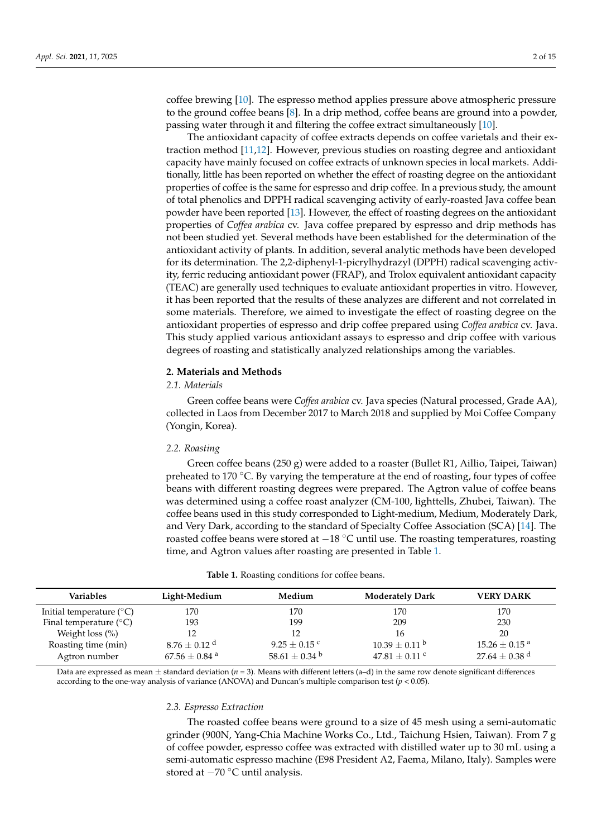coffee brewing [\[10\]](#page-12-9). The espresso method applies pressure above atmospheric pressure to the ground coffee beans [\[8\]](#page-12-7). In a drip method, coffee beans are ground into a powder, passing water through it and filtering the coffee extract simultaneously [\[10\]](#page-12-9).

The antioxidant capacity of coffee extracts depends on coffee varietals and their extraction method [\[11,](#page-12-10)[12\]](#page-12-11). However, previous studies on roasting degree and antioxidant capacity have mainly focused on coffee extracts of unknown species in local markets. Additionally, little has been reported on whether the effect of roasting degree on the antioxidant properties of coffee is the same for espresso and drip coffee. In a previous study, the amount of total phenolics and DPPH radical scavenging activity of early-roasted Java coffee bean powder have been reported [\[13\]](#page-12-12). However, the effect of roasting degrees on the antioxidant properties of *Coffea arabica* cv. Java coffee prepared by espresso and drip methods has not been studied yet. Several methods have been established for the determination of the antioxidant activity of plants. In addition, several analytic methods have been developed for its determination. The 2,2-diphenyl-1-picrylhydrazyl (DPPH) radical scavenging activity, ferric reducing antioxidant power (FRAP), and Trolox equivalent antioxidant capacity (TEAC) are generally used techniques to evaluate antioxidant properties in vitro. However, it has been reported that the results of these analyzes are different and not correlated in some materials. Therefore, we aimed to investigate the effect of roasting degree on the antioxidant properties of espresso and drip coffee prepared using *Coffea arabica* cv. Java. This study applied various antioxidant assays to espresso and drip coffee with various degrees of roasting and statistically analyzed relationships among the variables.

#### **2. Materials and Methods**

## *2.1. Materials*

Green coffee beans were *Coffea arabica* cv. Java species (Natural processed, Grade AA), collected in Laos from December 2017 to March 2018 and supplied by Moi Coffee Company (Yongin, Korea).

#### *2.2. Roasting*

Green coffee beans (250 g) were added to a roaster (Bullet R1, Aillio, Taipei, Taiwan) preheated to 170  $\degree$ C. By varying the temperature at the end of roasting, four types of coffee beans with different roasting degrees were prepared. The Agtron value of coffee beans was determined using a coffee roast analyzer (CM-100, lighttells, Zhubei, Taiwan). The coffee beans used in this study corresponded to Light-medium, Medium, Moderately Dark, and Very Dark, according to the standard of Specialty Coffee Association (SCA) [\[14\]](#page-12-13). The roasted coffee beans were stored at  $-18$  °C until use. The roasting temperatures, roasting time, and Agtron values after roasting are presented in Table [1.](#page-1-0)

<span id="page-1-0"></span>

| <b>Variables</b>                  | Light-Medium                 | Medium                        | <b>Moderately Dark</b> | <b>VERY DARK</b>              |
|-----------------------------------|------------------------------|-------------------------------|------------------------|-------------------------------|
| Initial temperature $(^{\circ}C)$ | 170                          | 170                           | 170                    | 170                           |
| Final temperature $(^{\circ}C)$   | 193                          | 199                           | 209                    | 230                           |
| Weight loss $(\%)$                | 12                           | 12                            | 16                     | 20                            |
| Roasting time (min)               | $8.76 \pm 0.12$ <sup>d</sup> | $9.25 + 0.15$ c               | $10.39 + 0.11^{b}$     | $15.26 \pm 0.15$ <sup>a</sup> |
| Agtron number                     | $67.56\pm0.84$ a             | 58.61 $\pm$ 0.34 <sup>b</sup> | $47.81 + 0.11$ c       | 27.64 $\pm$ 0.38 <sup>d</sup> |

| Table 1. Roasting conditions for coffee beans. |  |
|------------------------------------------------|--|
|------------------------------------------------|--|

Data are expressed as mean  $\pm$  standard deviation ( $n = 3$ ). Means with different letters (a–d) in the same row denote significant differences according to the one-way analysis of variance (ANOVA) and Duncan's multiple comparison test ( $p < 0.05$ ).

#### *2.3. Espresso Extraction*

The roasted coffee beans were ground to a size of 45 mesh using a semi-automatic grinder (900N, Yang-Chia Machine Works Co., Ltd., Taichung Hsien, Taiwan). From 7 g of coffee powder, espresso coffee was extracted with distilled water up to 30 mL using a semi-automatic espresso machine (E98 President A2, Faema, Milano, Italy). Samples were stored at −70 ◦C until analysis.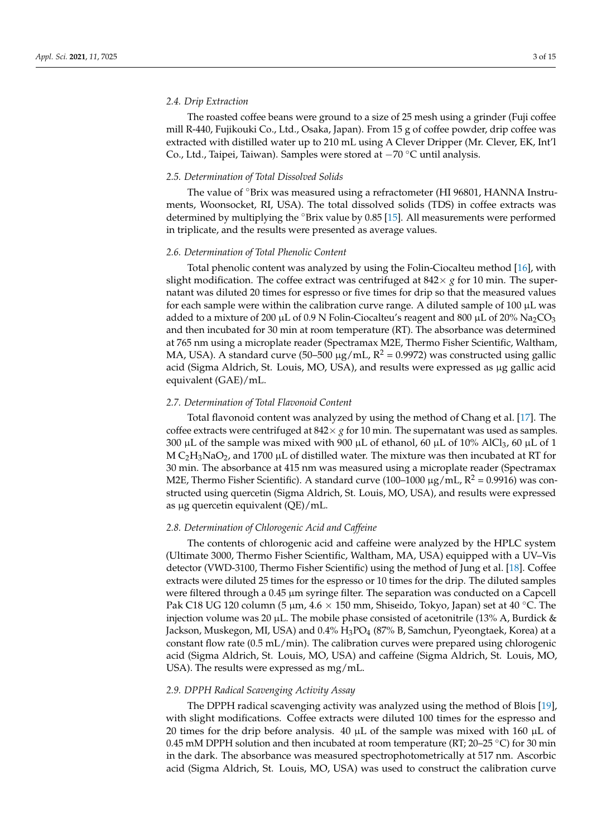## *2.4. Drip Extraction*

The roasted coffee beans were ground to a size of 25 mesh using a grinder (Fuji coffee mill R-440, Fujikouki Co., Ltd., Osaka, Japan). From 15 g of coffee powder, drip coffee was extracted with distilled water up to 210 mL using A Clever Dripper (Mr. Clever, EK, Int'l Co., Ltd., Taipei, Taiwan). Samples were stored at −70 ◦C until analysis.

# *2.5. Determination of Total Dissolved Solids*

The value of °Brix was measured using a refractometer (HI 96801, HANNA Instruments, Woonsocket, RI, USA). The total dissolved solids (TDS) in coffee extracts was determined by multiplying the ◦Brix value by 0.85 [\[15\]](#page-12-14). All measurements were performed in triplicate, and the results were presented as average values.

#### *2.6. Determination of Total Phenolic Content*

Total phenolic content was analyzed by using the Folin-Ciocalteu method [\[16\]](#page-12-15), with slight modification. The coffee extract was centrifuged at  $842 \times g$  for 10 min. The supernatant was diluted 20 times for espresso or five times for drip so that the measured values for each sample were within the calibration curve range. A diluted sample of  $100 \mu L$  was added to a mixture of 200  $\mu$ L of 0.9 N Folin-Ciocalteu's reagent and 800  $\mu$ L of 20% Na<sub>2</sub>CO<sub>3</sub> and then incubated for 30 min at room temperature (RT). The absorbance was determined at 765 nm using a microplate reader (Spectramax M2E, Thermo Fisher Scientific, Waltham, MA, USA). A standard curve (50–500  $\mu$ g/mL, R<sup>2</sup> = 0.9972) was constructed using gallic acid (Sigma Aldrich, St. Louis, MO, USA), and results were expressed as µg gallic acid equivalent (GAE)/mL.

## *2.7. Determination of Total Flavonoid Content*

Total flavonoid content was analyzed by using the method of Chang et al. [\[17\]](#page-12-16). The coffee extracts were centrifuged at  $842 \times g$  for 10 min. The supernatant was used as samples. 300 µL of the sample was mixed with 900 µL of ethanol, 60 µL of 10% AlCl<sub>3</sub>, 60 µL of 1 M  $C_2H_3NaO_2$ , and 1700 µL of distilled water. The mixture was then incubated at RT for 30 min. The absorbance at 415 nm was measured using a microplate reader (Spectramax M2E, Thermo Fisher Scientific). A standard curve (100–1000  $\mu$ g/mL, R<sup>2</sup> = 0.9916) was constructed using quercetin (Sigma Aldrich, St. Louis, MO, USA), and results were expressed as µg quercetin equivalent (QE)/mL.

# *2.8. Determination of Chlorogenic Acid and Caffeine*

The contents of chlorogenic acid and caffeine were analyzed by the HPLC system (Ultimate 3000, Thermo Fisher Scientific, Waltham, MA, USA) equipped with a UV–Vis detector (VWD-3100, Thermo Fisher Scientific) using the method of Jung et al. [\[18\]](#page-12-17). Coffee extracts were diluted 25 times for the espresso or 10 times for the drip. The diluted samples were filtered through a 0.45 µm syringe filter. The separation was conducted on a Capcell Pak C18 UG 120 column (5 µm, 4.6  $\times$  150 mm, Shiseido, Tokyo, Japan) set at 40 °C. The injection volume was 20  $\mu$ L. The mobile phase consisted of acetonitrile (13% A, Burdick & Jackson, Muskegon, MI, USA) and  $0.4\%$   $H_3PO_4$  (87% B, Samchun, Pyeongtaek, Korea) at a constant flow rate (0.5 mL/min). The calibration curves were prepared using chlorogenic acid (Sigma Aldrich, St. Louis, MO, USA) and caffeine (Sigma Aldrich, St. Louis, MO, USA). The results were expressed as mg/mL.

## *2.9. DPPH Radical Scavenging Activity Assay*

The DPPH radical scavenging activity was analyzed using the method of Blois [\[19\]](#page-12-18), with slight modifications. Coffee extracts were diluted 100 times for the espresso and 20 times for the drip before analysis. 40  $\mu$ L of the sample was mixed with 160  $\mu$ L of 0.45 mM DPPH solution and then incubated at room temperature (RT; 20–25 °C) for 30 min in the dark. The absorbance was measured spectrophotometrically at 517 nm. Ascorbic acid (Sigma Aldrich, St. Louis, MO, USA) was used to construct the calibration curve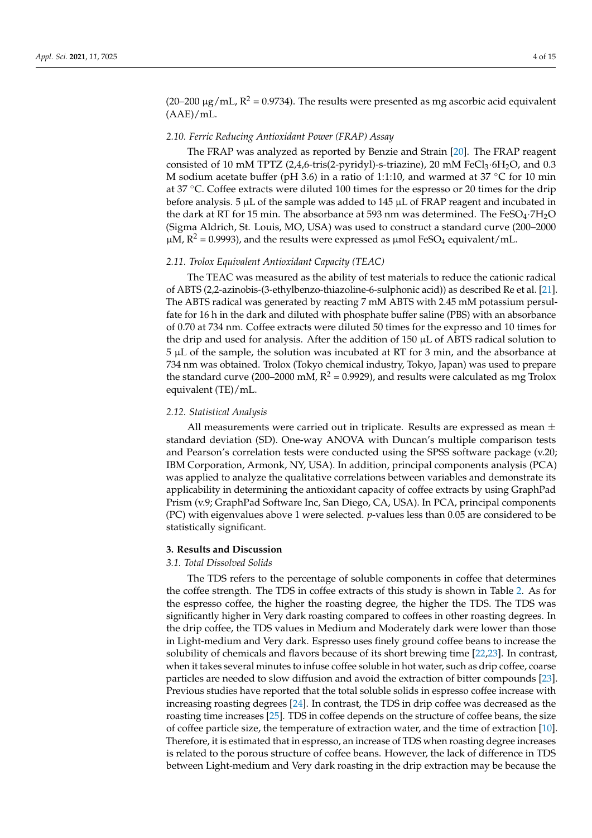(20–200  $\mu$ g/mL, R<sup>2</sup> = 0.9734). The results were presented as mg ascorbic acid equivalent (AAE)/mL.

#### *2.10. Ferric Reducing Antioxidant Power (FRAP) Assay*

The FRAP was analyzed as reported by Benzie and Strain [\[20\]](#page-12-19). The FRAP reagent consisted of 10 mM TPTZ (2,4,6-tris(2-pyridyl)-s-triazine), 20 mM FeCl $_3$ ·6H $_2$ O, and 0.3 M sodium acetate buffer (pH 3.6) in a ratio of 1:1:10, and warmed at 37 ◦C for 10 min at 37 ◦C. Coffee extracts were diluted 100 times for the espresso or 20 times for the drip before analysis. 5  $\mu$ L of the sample was added to 145  $\mu$ L of FRAP reagent and incubated in the dark at RT for 15 min. The absorbance at 593 nm was determined. The FeSO<sub>4</sub>·7H<sub>2</sub>O (Sigma Aldrich, St. Louis, MO, USA) was used to construct a standard curve (200–2000  $\mu$ M, R<sup>2</sup> = 0.9993), and the results were expressed as  $\mu$ mol FeSO<sub>4</sub> equivalent/mL.

#### *2.11. Trolox Equivalent Antioxidant Capacity (TEAC)*

The TEAC was measured as the ability of test materials to reduce the cationic radical of ABTS (2,2-azinobis-(3-ethylbenzo-thiazoline-6-sulphonic acid)) as described Re et al. [\[21\]](#page-12-20). The ABTS radical was generated by reacting 7 mM ABTS with 2.45 mM potassium persulfate for 16 h in the dark and diluted with phosphate buffer saline (PBS) with an absorbance of 0.70 at 734 nm. Coffee extracts were diluted 50 times for the expresso and 10 times for the drip and used for analysis. After the addition of  $150 \mu L$  of ABTS radical solution to 5 µL of the sample, the solution was incubated at RT for 3 min, and the absorbance at 734 nm was obtained. Trolox (Tokyo chemical industry, Tokyo, Japan) was used to prepare the standard curve (200–2000 mM,  $R^2 = 0.9929$ ), and results were calculated as mg Trolox equivalent (TE)/mL.

## *2.12. Statistical Analysis*

All measurements were carried out in triplicate. Results are expressed as mean  $\pm$ standard deviation (SD). One-way ANOVA with Duncan's multiple comparison tests and Pearson's correlation tests were conducted using the SPSS software package (v.20; IBM Corporation, Armonk, NY, USA). In addition, principal components analysis (PCA) was applied to analyze the qualitative correlations between variables and demonstrate its applicability in determining the antioxidant capacity of coffee extracts by using GraphPad Prism (v.9; GraphPad Software Inc, San Diego, CA, USA). In PCA, principal components (PC) with eigenvalues above 1 were selected. *p*-values less than 0.05 are considered to be statistically significant.

## **3. Results and Discussion**

## *3.1. Total Dissolved Solids*

The TDS refers to the percentage of soluble components in coffee that determines the coffee strength. The TDS in coffee extracts of this study is shown in Table [2.](#page-4-0) As for the espresso coffee, the higher the roasting degree, the higher the TDS. The TDS was significantly higher in Very dark roasting compared to coffees in other roasting degrees. In the drip coffee, the TDS values in Medium and Moderately dark were lower than those in Light-medium and Very dark. Espresso uses finely ground coffee beans to increase the solubility of chemicals and flavors because of its short brewing time [\[22,](#page-12-21)[23\]](#page-12-22). In contrast, when it takes several minutes to infuse coffee soluble in hot water, such as drip coffee, coarse particles are needed to slow diffusion and avoid the extraction of bitter compounds [\[23\]](#page-12-22). Previous studies have reported that the total soluble solids in espresso coffee increase with increasing roasting degrees [\[24\]](#page-12-23). In contrast, the TDS in drip coffee was decreased as the roasting time increases [\[25\]](#page-12-24). TDS in coffee depends on the structure of coffee beans, the size of coffee particle size, the temperature of extraction water, and the time of extraction [\[10\]](#page-12-9). Therefore, it is estimated that in espresso, an increase of TDS when roasting degree increases is related to the porous structure of coffee beans. However, the lack of difference in TDS between Light-medium and Very dark roasting in the drip extraction may be because the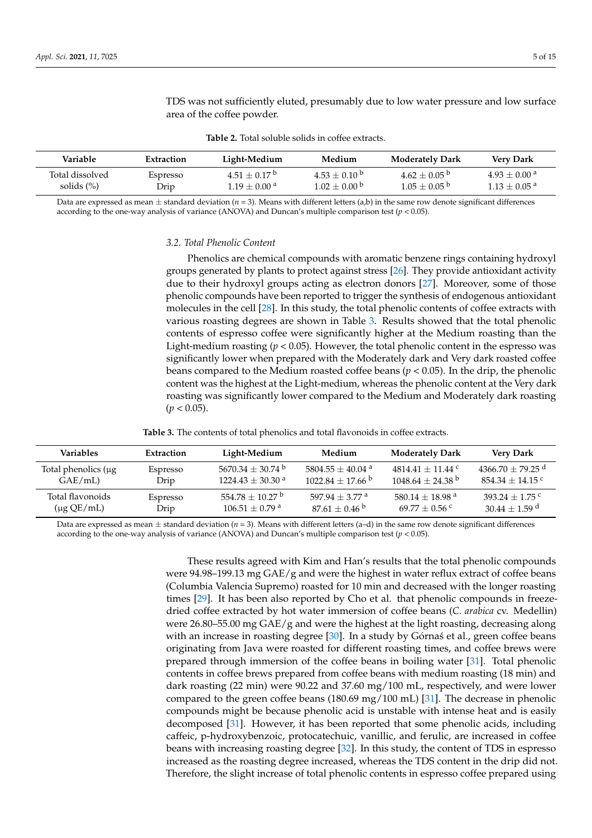<span id="page-4-0"></span>

| Variable                         | Extraction       | Light-Medium                                        | Medium                               | <b>Moderately Dark</b>                 | <b>Very Dark</b>                                         |
|----------------------------------|------------------|-----------------------------------------------------|--------------------------------------|----------------------------------------|----------------------------------------------------------|
| Total dissolved<br>solids $(\%)$ | Espresso<br>Drip | $4.51 + 0.17^{\circ}$<br>$1.19 + 0.00$ <sup>a</sup> | $4.53 + 0.10^{b}$<br>$1.02 + 0.00$ b | $4.62 + 0.05^{b}$<br>$1.05 + 0.05^{b}$ | $4.93 + 0.00$ <sup>a</sup><br>$1.13 + 0.05$ <sup>a</sup> |

**Table 2.** Total soluble solids in coffee extracts.

area of the coffee powder.

TDS was not sufficiently eluted, presumably due to low water pressure and low surface

Data are expressed as mean  $\pm$  standard deviation ( $n = 3$ ). Means with different letters (a,b) in the same row denote significant differences according to the one-way analysis of variance (ANOVA) and Duncan's multiple comparison test (*p* < 0.05).

#### *3.2. Total Phenolic Content*

Phenolics are chemical compounds with aromatic benzene rings containing hydroxyl groups generated by plants to protect against stress [\[26\]](#page-13-0). They provide antioxidant activity due to their hydroxyl groups acting as electron donors [\[27\]](#page-13-1). Moreover, some of those phenolic compounds have been reported to trigger the synthesis of endogenous antioxidant molecules in the cell [\[28\]](#page-13-2). In this study, the total phenolic contents of coffee extracts with various roasting degrees are shown in Table [3.](#page-4-1) Results showed that the total phenolic contents of espresso coffee were significantly higher at the Medium roasting than the Light-medium roasting  $(p < 0.05)$ . However, the total phenolic content in the espresso was significantly lower when prepared with the Moderately dark and Very dark roasted coffee beans compared to the Medium roasted coffee beans ( $p < 0.05$ ). In the drip, the phenolic content was the highest at the Light-medium, whereas the phenolic content at the Very dark roasting was significantly lower compared to the Medium and Moderately dark roasting  $(p < 0.05)$ .

<span id="page-4-1"></span>

| <b>Variables</b>          | Extraction | Light-Medium                   | Medium                         | <b>Moderately Dark</b>        | <b>Very Dark</b>      |
|---------------------------|------------|--------------------------------|--------------------------------|-------------------------------|-----------------------|
| Total phenolics $(\mu g)$ | Espresso   | $5670.34 + 30.74$ <sup>b</sup> | $5804.55 + 40.04$ <sup>a</sup> | $4814.41 + 11.44$ c           | $4366.70 \pm 79.25$ d |
| GAE/mL                    | Drip       | $1224.43 + 30.30$ <sup>a</sup> | $1022.84 + 17.66$ b            | $1048.64 + 24.38$ b           | $854.34 + 14.15$ c    |
| Total flavonoids          | Espresso   | $554.78 + 10.27^{\text{b}}$    | 597.94 + 3.77 a                | $580.14 + 18.98$ <sup>a</sup> | $393.24 + 1.75$ c     |
| $(\mu g QE/mL)$           | Drip       | $106.51\pm0.79$ a              | $87.61 + 0.46$                 | $69.77 + 0.56$ c              | $30.44 + 1.59$ d      |

Data are expressed as mean  $\pm$  standard deviation ( $n = 3$ ). Means with different letters (a–d) in the same row denote significant differences according to the one-way analysis of variance (ANOVA) and Duncan's multiple comparison test (*p* < 0.05).

> These results agreed with Kim and Han's results that the total phenolic compounds were 94.98–199.13 mg  $GAE/g$  and were the highest in water reflux extract of coffee beans (Columbia Valencia Supremo) roasted for 10 min and decreased with the longer roasting times [\[29\]](#page-13-3). It has been also reported by Cho et al. that phenolic compounds in freezedried coffee extracted by hot water immersion of coffee beans (*C. arabica* cv. Medellin) were 26.80–55.00 mg  $GAE/g$  and were the highest at the light roasting, decreasing along with an increase in roasting degree  $[30]$ . In a study by Górnas et al., green coffee beans originating from Java were roasted for different roasting times, and coffee brews were prepared through immersion of the coffee beans in boiling water [\[31\]](#page-13-5). Total phenolic contents in coffee brews prepared from coffee beans with medium roasting (18 min) and dark roasting (22 min) were 90.22 and 37.60 mg/100 mL, respectively, and were lower compared to the green coffee beans (180.69 mg/100 mL) [\[31\]](#page-13-5). The decrease in phenolic compounds might be because phenolic acid is unstable with intense heat and is easily decomposed [\[31\]](#page-13-5). However, it has been reported that some phenolic acids, including caffeic, p-hydroxybenzoic, protocatechuic, vanillic, and ferulic, are increased in coffee beans with increasing roasting degree [\[32\]](#page-13-6). In this study, the content of TDS in espresso increased as the roasting degree increased, whereas the TDS content in the drip did not. Therefore, the slight increase of total phenolic contents in espresso coffee prepared using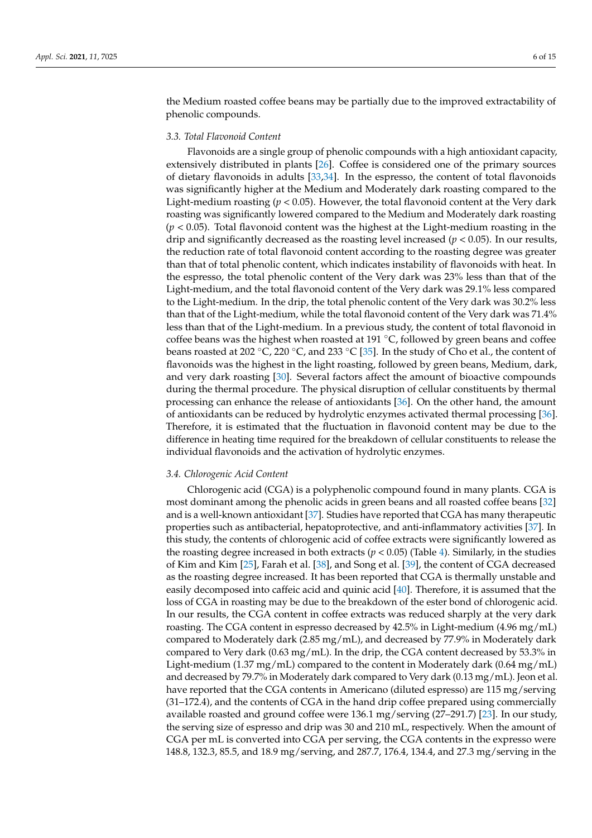the Medium roasted coffee beans may be partially due to the improved extractability of phenolic compounds.

## *3.3. Total Flavonoid Content*

Flavonoids are a single group of phenolic compounds with a high antioxidant capacity, extensively distributed in plants [\[26\]](#page-13-0). Coffee is considered one of the primary sources of dietary flavonoids in adults [\[33](#page-13-7)[,34\]](#page-13-8). In the espresso, the content of total flavonoids was significantly higher at the Medium and Moderately dark roasting compared to the Light-medium roasting ( $p < 0.05$ ). However, the total flavonoid content at the Very dark roasting was significantly lowered compared to the Medium and Moderately dark roasting (*p* < 0.05). Total flavonoid content was the highest at the Light-medium roasting in the drip and significantly decreased as the roasting level increased  $(p < 0.05)$ . In our results, the reduction rate of total flavonoid content according to the roasting degree was greater than that of total phenolic content, which indicates instability of flavonoids with heat. In the espresso, the total phenolic content of the Very dark was 23% less than that of the Light-medium, and the total flavonoid content of the Very dark was 29.1% less compared to the Light-medium. In the drip, the total phenolic content of the Very dark was 30.2% less than that of the Light-medium, while the total flavonoid content of the Very dark was 71.4% less than that of the Light-medium. In a previous study, the content of total flavonoid in coffee beans was the highest when roasted at 191 ◦C, followed by green beans and coffee beans roasted at 202 °C, 220 °C, and 233 °C [\[35\]](#page-13-9). In the study of Cho et al., the content of flavonoids was the highest in the light roasting, followed by green beans, Medium, dark, and very dark roasting [\[30\]](#page-13-4). Several factors affect the amount of bioactive compounds during the thermal procedure. The physical disruption of cellular constituents by thermal processing can enhance the release of antioxidants [\[36\]](#page-13-10). On the other hand, the amount of antioxidants can be reduced by hydrolytic enzymes activated thermal processing [\[36\]](#page-13-10). Therefore, it is estimated that the fluctuation in flavonoid content may be due to the difference in heating time required for the breakdown of cellular constituents to release the individual flavonoids and the activation of hydrolytic enzymes.

#### *3.4. Chlorogenic Acid Content*

Chlorogenic acid (CGA) is a polyphenolic compound found in many plants. CGA is most dominant among the phenolic acids in green beans and all roasted coffee beans [\[32\]](#page-13-6) and is a well-known antioxidant [\[37\]](#page-13-11). Studies have reported that CGA has many therapeutic properties such as antibacterial, hepatoprotective, and anti-inflammatory activities [\[37\]](#page-13-11). In this study, the contents of chlorogenic acid of coffee extracts were significantly lowered as the roasting degree increased in both extracts ( $p < 0.05$ ) (Table [4\)](#page-6-0). Similarly, in the studies of Kim and Kim [\[25\]](#page-12-24), Farah et al. [\[38\]](#page-13-12), and Song et al. [\[39\]](#page-13-13), the content of CGA decreased as the roasting degree increased. It has been reported that CGA is thermally unstable and easily decomposed into caffeic acid and quinic acid [\[40\]](#page-13-14). Therefore, it is assumed that the loss of CGA in roasting may be due to the breakdown of the ester bond of chlorogenic acid. In our results, the CGA content in coffee extracts was reduced sharply at the very dark roasting. The CGA content in espresso decreased by 42.5% in Light-medium (4.96 mg/mL) compared to Moderately dark (2.85 mg/mL), and decreased by 77.9% in Moderately dark compared to Very dark (0.63 mg/mL). In the drip, the CGA content decreased by 53.3% in Light-medium (1.37 mg/mL) compared to the content in Moderately dark (0.64 mg/mL) and decreased by 79.7% in Moderately dark compared to Very dark (0.13 mg/mL). Jeon et al. have reported that the CGA contents in Americano (diluted espresso) are 115 mg/serving (31–172.4), and the contents of CGA in the hand drip coffee prepared using commercially available roasted and ground coffee were 136.1 mg/serving (27–291.7) [\[23\]](#page-12-22). In our study, the serving size of espresso and drip was 30 and 210 mL, respectively. When the amount of CGA per mL is converted into CGA per serving, the CGA contents in the expresso were 148.8, 132.3, 85.5, and 18.9 mg/serving, and 287.7, 176.4, 134.4, and 27.3 mg/serving in the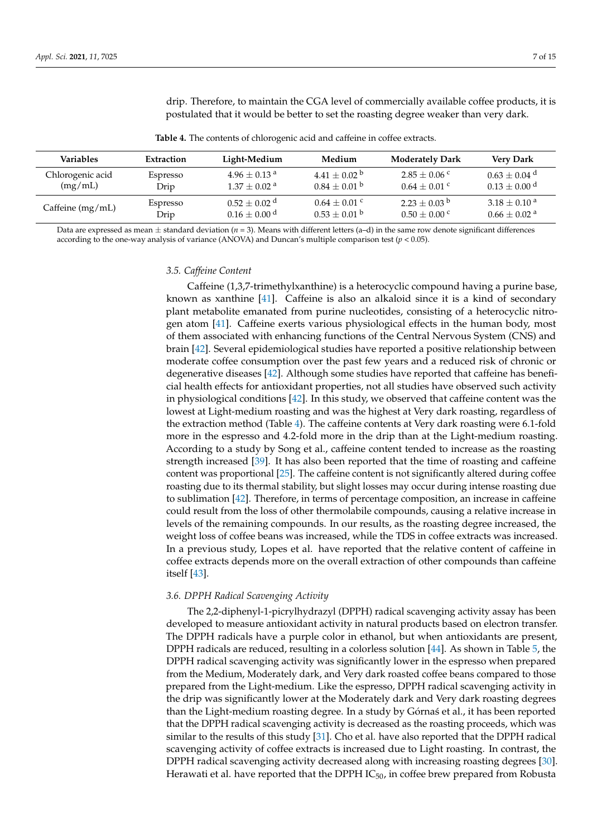drip. Therefore, to maintain the CGA level of commercially available coffee products, it is postulated that it would be better to set the roasting degree weaker than very dark.

**Table 4.** The contents of chlorogenic acid and caffeine in coffee extracts.

<span id="page-6-0"></span>

| <b>Variables</b>   | Extraction | Light-Medium                 | Medium            | <b>Moderately Dark</b> | <b>Very Dark</b>             |
|--------------------|------------|------------------------------|-------------------|------------------------|------------------------------|
| Chlorogenic acid   | Espresso   | $4.96 + 0.13$ <sup>a</sup>   | $4.41 + 0.02^{b}$ | $2.85 + 0.06$ c        | $0.63 + 0.04$ <sup>d</sup>   |
| (mg/mL)            | Drip       | $1.37 \pm 0.02$ <sup>a</sup> | $0.84 + 0.01$ b   | $0.64 + 0.01$ c        | $0.13 + 0.00$ <sup>d</sup>   |
| Caffeine $(mg/mL)$ | Espresso   | $0.52 \pm 0.02$ <sup>d</sup> | $0.64 \pm 0.01$ c | $2.23 \pm 0.03$ b      | $3.18 \pm 0.10^{\text{ a}}$  |
|                    | Drip       | $0.16 \pm 0.00$ <sup>d</sup> | $0.53 \pm 0.01$ b | $0.50 + 0.00$ c        | $0.66 \pm 0.02$ <sup>a</sup> |

Data are expressed as mean  $\pm$  standard deviation ( $n = 3$ ). Means with different letters (a–d) in the same row denote significant differences according to the one-way analysis of variance (ANOVA) and Duncan's multiple comparison test (*p* < 0.05).

## *3.5. Caffeine Content*

Caffeine (1,3,7-trimethylxanthine) is a heterocyclic compound having a purine base, known as xanthine [\[41\]](#page-13-15). Caffeine is also an alkaloid since it is a kind of secondary plant metabolite emanated from purine nucleotides, consisting of a heterocyclic nitrogen atom [\[41\]](#page-13-15). Caffeine exerts various physiological effects in the human body, most of them associated with enhancing functions of the Central Nervous System (CNS) and brain [\[42\]](#page-13-16). Several epidemiological studies have reported a positive relationship between moderate coffee consumption over the past few years and a reduced risk of chronic or degenerative diseases [\[42\]](#page-13-16). Although some studies have reported that caffeine has beneficial health effects for antioxidant properties, not all studies have observed such activity in physiological conditions [\[42\]](#page-13-16). In this study, we observed that caffeine content was the lowest at Light-medium roasting and was the highest at Very dark roasting, regardless of the extraction method (Table [4\)](#page-6-0). The caffeine contents at Very dark roasting were 6.1-fold more in the espresso and 4.2-fold more in the drip than at the Light-medium roasting. According to a study by Song et al., caffeine content tended to increase as the roasting strength increased [\[39\]](#page-13-13). It has also been reported that the time of roasting and caffeine content was proportional [\[25\]](#page-12-24). The caffeine content is not significantly altered during coffee roasting due to its thermal stability, but slight losses may occur during intense roasting due to sublimation [\[42\]](#page-13-16). Therefore, in terms of percentage composition, an increase in caffeine could result from the loss of other thermolabile compounds, causing a relative increase in levels of the remaining compounds. In our results, as the roasting degree increased, the weight loss of coffee beans was increased, while the TDS in coffee extracts was increased. In a previous study, Lopes et al. have reported that the relative content of caffeine in coffee extracts depends more on the overall extraction of other compounds than caffeine itself [\[43\]](#page-13-17).

#### *3.6. DPPH Radical Scavenging Activity*

The 2,2-diphenyl-1-picrylhydrazyl (DPPH) radical scavenging activity assay has been developed to measure antioxidant activity in natural products based on electron transfer. The DPPH radicals have a purple color in ethanol, but when antioxidants are present, DPPH radicals are reduced, resulting in a colorless solution [\[44\]](#page-13-18). As shown in Table [5,](#page-7-0) the DPPH radical scavenging activity was significantly lower in the espresso when prepared from the Medium, Moderately dark, and Very dark roasted coffee beans compared to those prepared from the Light-medium. Like the espresso, DPPH radical scavenging activity in the drip was significantly lower at the Moderately dark and Very dark roasting degrees than the Light-medium roasting degree. In a study by Górnas et al., it has been reported that the DPPH radical scavenging activity is decreased as the roasting proceeds, which was similar to the results of this study [\[31\]](#page-13-5). Cho et al. have also reported that the DPPH radical scavenging activity of coffee extracts is increased due to Light roasting. In contrast, the DPPH radical scavenging activity decreased along with increasing roasting degrees [\[30\]](#page-13-4). Herawati et al. have reported that the DPPH  $IC_{50}$ , in coffee brew prepared from Robusta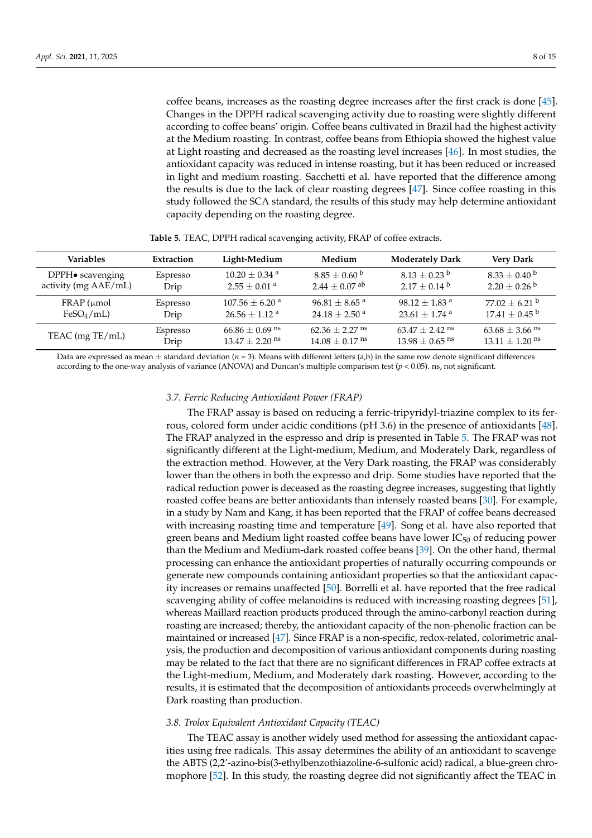coffee beans, increases as the roasting degree increases after the first crack is done [\[45\]](#page-13-19). Changes in the DPPH radical scavenging activity due to roasting were slightly different according to coffee beans' origin. Coffee beans cultivated in Brazil had the highest activity at the Medium roasting. In contrast, coffee beans from Ethiopia showed the highest value at Light roasting and decreased as the roasting level increases [\[46\]](#page-13-20). In most studies, the antioxidant capacity was reduced in intense roasting, but it has been reduced or increased in light and medium roasting. Sacchetti et al. have reported that the difference among the results is due to the lack of clear roasting degrees [\[47\]](#page-13-21). Since coffee roasting in this study followed the SCA standard, the results of this study may help determine antioxidant capacity depending on the roasting degree.

<span id="page-7-0"></span>

| <b>Variables</b>         | Extraction | Light-Medium                   | Medium                        | <b>Moderately Dark</b>         | <b>Very Dark</b>               |
|--------------------------|------------|--------------------------------|-------------------------------|--------------------------------|--------------------------------|
| $DPPH\bullet$ scavenging | Espresso   | $10.20 + 0.34$ <sup>a</sup>    | $8.85\pm0.60$ b               | $8.13 + 0.23^{\circ}$          | $8.33 + 0.40^{\circ}$          |
| activity (mg AAE/mL)     | Drip       | $2.55 + 0.01$ <sup>a</sup>     | $2.44 \pm 0.07$ <sup>ab</sup> | $2.17 \pm 0.14^{\mathrm{b}}$   | $2.20 \pm 0.26$ <sup>b</sup>   |
| $FRAP$ ( $\mu$ mol       | Espresso   | $107.56 \pm 6.20$ <sup>a</sup> | $96.81 \pm 8.65$ <sup>a</sup> | $98.12 + 1.83$ <sup>a</sup>    | $77.02 + 6.21$ <sup>b</sup>    |
| $FeSO_4/mL$              | Drip       | $26.56 + 1.12$ <sup>a</sup>    | $24.18 + 2.50$ <sup>a</sup>   | $23.61 + 1.74$ <sup>a</sup>    | $17.41\pm0.45$ b               |
| TEAC (mg TE/mL)          | Espresso   | $66.86 \pm 0.69$ <sup>ns</sup> | $62.36 + 2.27$ <sup>ns</sup>  | $63.47 \pm 2.42$ <sup>ns</sup> | $63.68 \pm 3.66$ <sup>ns</sup> |
|                          | Drip       | $13.47 + 2.20$ <sup>ns</sup>   | $14.08 + 0.17$ <sup>ns</sup>  | $13.98 + 0.65$ <sup>ns</sup>   | $13.11 + 1.20$ <sup>ns</sup>   |

**Table 5.** TEAC, DPPH radical scavenging activity, FRAP of coffee extracts.

Data are expressed as mean  $\pm$  standard deviation ( $n = 3$ ). Means with different letters (a,b) in the same row denote significant differences according to the one-way analysis of variance (ANOVA) and Duncan's multiple comparison test (*p* < 0.05). ns, not significant.

## *3.7. Ferric Reducing Antioxidant Power (FRAP)*

The FRAP assay is based on reducing a ferric-tripyridyl-triazine complex to its ferrous, colored form under acidic conditions (pH 3.6) in the presence of antioxidants [\[48\]](#page-13-22). The FRAP analyzed in the espresso and drip is presented in Table [5.](#page-7-0) The FRAP was not significantly different at the Light-medium, Medium, and Moderately Dark, regardless of the extraction method. However, at the Very Dark roasting, the FRAP was considerably lower than the others in both the expresso and drip. Some studies have reported that the radical reduction power is deceased as the roasting degree increases, suggesting that lightly roasted coffee beans are better antioxidants than intensely roasted beans [\[30\]](#page-13-4). For example, in a study by Nam and Kang, it has been reported that the FRAP of coffee beans decreased with increasing roasting time and temperature [\[49\]](#page-13-23). Song et al. have also reported that green beans and Medium light roasted coffee beans have lower  $IC_{50}$  of reducing power than the Medium and Medium-dark roasted coffee beans [\[39\]](#page-13-13). On the other hand, thermal processing can enhance the antioxidant properties of naturally occurring compounds or generate new compounds containing antioxidant properties so that the antioxidant capacity increases or remains unaffected [\[50\]](#page-13-24). Borrelli et al. have reported that the free radical scavenging ability of coffee melanoidins is reduced with increasing roasting degrees [\[51\]](#page-13-25), whereas Maillard reaction products produced through the amino-carbonyl reaction during roasting are increased; thereby, the antioxidant capacity of the non-phenolic fraction can be maintained or increased [\[47\]](#page-13-21). Since FRAP is a non-specific, redox-related, colorimetric analysis, the production and decomposition of various antioxidant components during roasting may be related to the fact that there are no significant differences in FRAP coffee extracts at the Light-medium, Medium, and Moderately dark roasting. However, according to the results, it is estimated that the decomposition of antioxidants proceeds overwhelmingly at Dark roasting than production.

## *3.8. Trolox Equivalent Antioxidant Capacity (TEAC)*

The TEAC assay is another widely used method for assessing the antioxidant capacities using free radicals. This assay determines the ability of an antioxidant to scavenge the ABTS (2,2'-azino-bis(3-ethylbenzothiazoline-6-sulfonic acid) radical, a blue-green chromophore [\[52\]](#page-13-26). In this study, the roasting degree did not significantly affect the TEAC in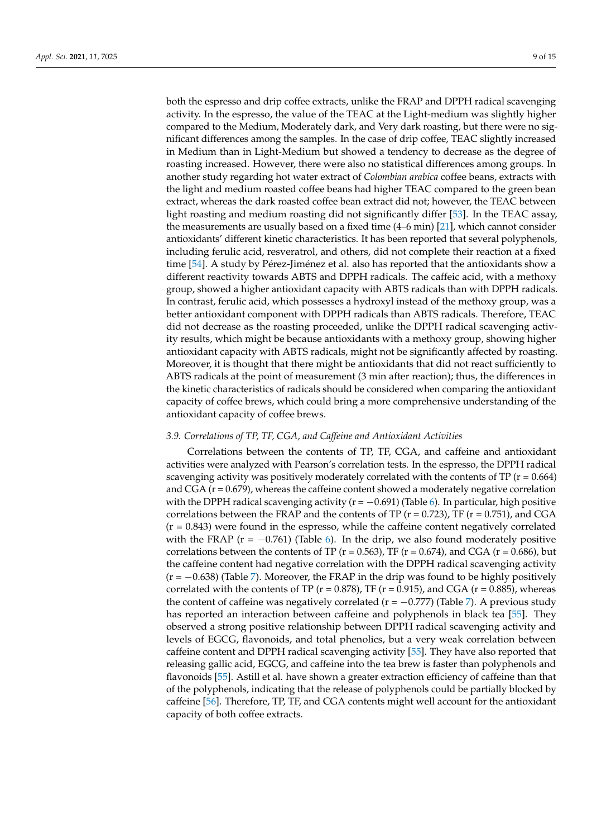both the espresso and drip coffee extracts, unlike the FRAP and DPPH radical scavenging activity. In the espresso, the value of the TEAC at the Light-medium was slightly higher compared to the Medium, Moderately dark, and Very dark roasting, but there were no significant differences among the samples. In the case of drip coffee, TEAC slightly increased in Medium than in Light-Medium but showed a tendency to decrease as the degree of roasting increased. However, there were also no statistical differences among groups. In another study regarding hot water extract of *Colombian arabica* coffee beans, extracts with the light and medium roasted coffee beans had higher TEAC compared to the green bean extract, whereas the dark roasted coffee bean extract did not; however, the TEAC between light roasting and medium roasting did not significantly differ [\[53\]](#page-14-0). In the TEAC assay, the measurements are usually based on a fixed time (4–6 min) [\[21\]](#page-12-20), which cannot consider antioxidants' different kinetic characteristics. It has been reported that several polyphenols, including ferulic acid, resveratrol, and others, did not complete their reaction at a fixed time [\[54\]](#page-14-1). A study by Pérez-Jiménez et al. also has reported that the antioxidants show a different reactivity towards ABTS and DPPH radicals. The caffeic acid, with a methoxy group, showed a higher antioxidant capacity with ABTS radicals than with DPPH radicals. In contrast, ferulic acid, which possesses a hydroxyl instead of the methoxy group, was a better antioxidant component with DPPH radicals than ABTS radicals. Therefore, TEAC did not decrease as the roasting proceeded, unlike the DPPH radical scavenging activity results, which might be because antioxidants with a methoxy group, showing higher antioxidant capacity with ABTS radicals, might not be significantly affected by roasting. Moreover, it is thought that there might be antioxidants that did not react sufficiently to ABTS radicals at the point of measurement (3 min after reaction); thus, the differences in the kinetic characteristics of radicals should be considered when comparing the antioxidant capacity of coffee brews, which could bring a more comprehensive understanding of the antioxidant capacity of coffee brews.

## *3.9. Correlations of TP, TF, CGA, and Caffeine and Antioxidant Activities*

Correlations between the contents of TP, TF, CGA, and caffeine and antioxidant activities were analyzed with Pearson's correlation tests. In the espresso, the DPPH radical scavenging activity was positively moderately correlated with the contents of TP ( $r = 0.664$ ) and  $CGA (r = 0.679)$ , whereas the caffeine content showed a moderately negative correlation with the DPPH radical scavenging activity ( $r = -0.691$ ) (Table [6\)](#page-9-0). In particular, high positive correlations between the FRAP and the contents of TP ( $r = 0.723$ ), TF ( $r = 0.751$ ), and CGA  $(r = 0.843)$  were found in the espresso, while the caffeine content negatively correlated with the FRAP ( $r = -0.761$ ) (Table [6\)](#page-9-0). In the drip, we also found moderately positive correlations between the contents of TP ( $r = 0.563$ ), TF ( $r = 0.674$ ), and CGA ( $r = 0.686$ ), but the caffeine content had negative correlation with the DPPH radical scavenging activity  $(r = -0.638)$  (Table [7\)](#page-9-1). Moreover, the FRAP in the drip was found to be highly positively correlated with the contents of TP ( $r = 0.878$ ), TF ( $r = 0.915$ ), and CGA ( $r = 0.885$ ), whereas the content of caffeine was negatively correlated ( $r = -0.777$ ) (Table [7\)](#page-9-1). A previous study has reported an interaction between caffeine and polyphenols in black tea [\[55\]](#page-14-2). They observed a strong positive relationship between DPPH radical scavenging activity and levels of EGCG, flavonoids, and total phenolics, but a very weak correlation between caffeine content and DPPH radical scavenging activity [\[55\]](#page-14-2). They have also reported that releasing gallic acid, EGCG, and caffeine into the tea brew is faster than polyphenols and flavonoids [\[55\]](#page-14-2). Astill et al. have shown a greater extraction efficiency of caffeine than that of the polyphenols, indicating that the release of polyphenols could be partially blocked by caffeine [\[56\]](#page-14-3). Therefore, TP, TF, and CGA contents might well account for the antioxidant capacity of both coffee extracts.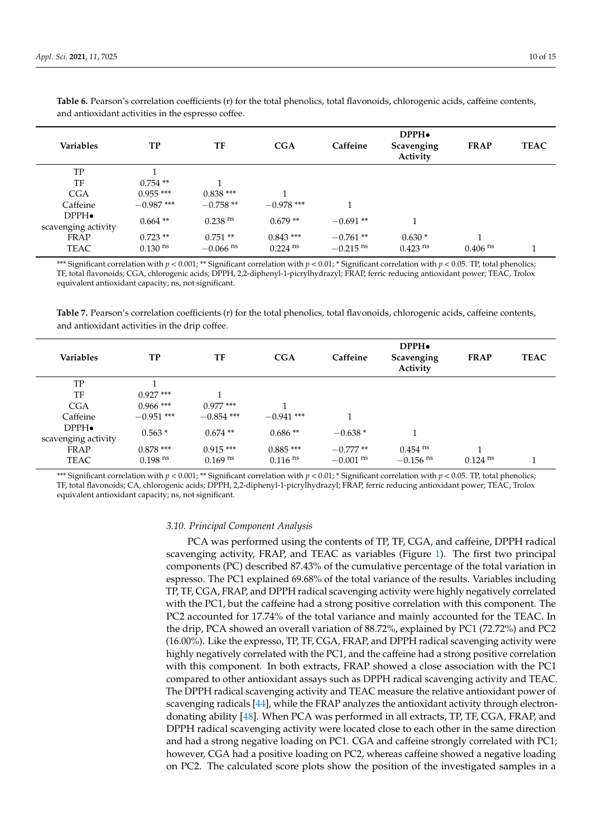| Variables           | TP                    | TF                     | CGA                   | Caffeine               | DPPH <sub>•</sub><br>Scavenging<br>Activity | <b>FRAP</b>           | <b>TEAC</b> |
|---------------------|-----------------------|------------------------|-----------------------|------------------------|---------------------------------------------|-----------------------|-------------|
| TP                  |                       |                        |                       |                        |                                             |                       |             |
| TF                  | $0.754**$             |                        |                       |                        |                                             |                       |             |
| <b>CGA</b>          | $0.955***$            | $0.838***$             | -1                    |                        |                                             |                       |             |
| Caffeine            | $-0.987$ ***          | $-0.758**$             | $-0.978$ ***          |                        |                                             |                       |             |
| $DPPH\bullet$       | $0.664**$             | $0.238$ <sup>ns</sup>  | $0.679**$             | $-0.691**$             |                                             |                       |             |
| scavenging activity |                       |                        |                       |                        |                                             |                       |             |
| <b>FRAP</b>         | $0.723**$             | $0.751**$              | $0.843***$            | $-0.761$ **            | $0.630*$                                    |                       |             |
| <b>TEAC</b>         | $0.130$ <sup>ns</sup> | $-0.066$ <sup>ns</sup> | $0.224$ <sup>ns</sup> | $-0.215$ <sup>ns</sup> | $0.423$ <sup>ns</sup>                       | $0.406$ <sup>ns</sup> |             |

<span id="page-9-0"></span>**Table 6.** Pearson's correlation coefficients (r) for the total phenolics, total flavonoids, chlorogenic acids, caffeine contents, and antioxidant activities in the espresso coffee.

\*\*\* Significant correlation with  $p < 0.001$ ; \*\* Significant correlation with  $p < 0.01$ ; \* Significant correlation with  $p < 0.05$ . TP, total phenolics; TF, total flavonoids; CGA, chlorogenic acids; DPPH, 2,2-diphenyl-1-picrylhydrazyl; FRAP, ferric reducing antioxidant power; TEAC, Trolox equivalent antioxidant capacity; ns, not significant.

<span id="page-9-1"></span>**Table 7.** Pearson's correlation coefficients (r) for the total phenolics, total flavonoids, chlorogenic acids, caffeine contents, and antioxidant activities in the drip coffee.

| <b>Variables</b>                     | TP                    | TF                    | CGA                   | Caffeine               | DPPH <sub>•</sub><br>Scavenging<br>Activity | <b>FRAP</b>           | <b>TEAC</b> |
|--------------------------------------|-----------------------|-----------------------|-----------------------|------------------------|---------------------------------------------|-----------------------|-------------|
| TP                                   |                       |                       |                       |                        |                                             |                       |             |
| TF                                   | $0.927$ ***           |                       |                       |                        |                                             |                       |             |
| <b>CGA</b>                           | $0.966$ ***           | $0.977$ ***           |                       |                        |                                             |                       |             |
| Caffeine                             | $-0.951$ ***          | $-0.854$ ***          | $-0.941$ ***          |                        |                                             |                       |             |
| $DPPH\bullet$<br>scavenging activity | $0.563*$              | $0.674**$             | $0.686**$             | $-0.638*$              |                                             |                       |             |
| FRAP                                 | $0.878***$            | $0.915***$            | $0.885***$            | $-0.777**$             | $0.454$ <sup>ns</sup>                       | 1                     |             |
| TEAC                                 | $0.198$ <sup>ns</sup> | $0.169$ <sup>ns</sup> | $0.116$ <sup>ns</sup> | $-0.001$ <sup>ns</sup> | $-0.156$ <sup>ns</sup>                      | $0.124$ <sup>ns</sup> |             |

\*\*\* Significant correlation with  $p < 0.001$ ; \*\* Significant correlation with  $p < 0.01$ ; \* Significant correlation with  $p < 0.05$ . TP, total phenolics; TF, total flavonoids; CA, chlorogenic acids; DPPH, 2,2-diphenyl-1-picrylhydrazyl; FRAP, ferric reducing antioxidant power; TEAC, Trolox equivalent antioxidant capacity; ns, not significant.

## *3.10. Principal Component Analysis*

PCA was performed using the contents of TP, TF, CGA, and caffeine, DPPH radical scavenging activity, FRAP, and TEAC as variables (Figure [1\)](#page-11-0). The first two principal components (PC) described 87.43% of the cumulative percentage of the total variation in espresso. The PC1 explained 69.68% of the total variance of the results. Variables including TP, TF, CGA, FRAP, and DPPH radical scavenging activity were highly negatively correlated with the PC1, but the caffeine had a strong positive correlation with this component. The PC2 accounted for 17.74% of the total variance and mainly accounted for the TEAC. In the drip, PCA showed an overall variation of 88.72%, explained by PC1 (72.72%) and PC2 (16.00%). Like the expresso, TP, TF, CGA, FRAP, and DPPH radical scavenging activity were highly negatively correlated with the PC1, and the caffeine had a strong positive correlation with this component. In both extracts, FRAP showed a close association with the PC1 compared to other antioxidant assays such as DPPH radical scavenging activity and TEAC. The DPPH radical scavenging activity and TEAC measure the relative antioxidant power of scavenging radicals [\[44\]](#page-13-18), while the FRAP analyzes the antioxidant activity through electrondonating ability [\[48\]](#page-13-22). When PCA was performed in all extracts, TP, TF, CGA, FRAP, and DPPH radical scavenging activity were located close to each other in the same direction and had a strong negative loading on PC1. CGA and caffeine strongly correlated with PC1; however, CGA had a positive loading on PC2, whereas caffeine showed a negative loading on PC2. The calculated score plots show the position of the investigated samples in a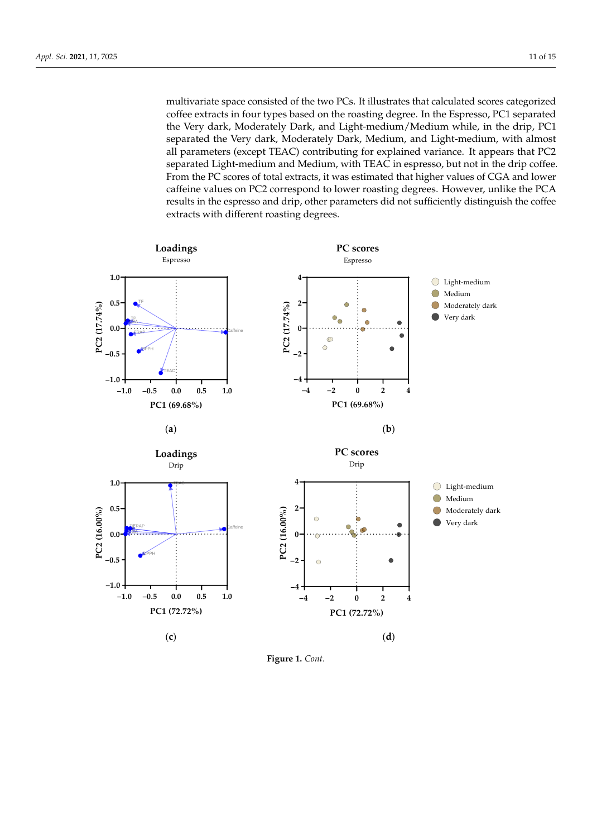multivariate space consisted of the two PCs. It illustrates that calculated scores categorized coffee extracts in four types based on the roasting degree. In the Espresso, PC1 separated the Very dark, Moderately Dark, and Light-medium/Medium while, in the drip, PC1 separated the Very dark, Moderately Dark, Medium, and Light-medium, with almost all parameters (except TEAC) contributing for explained variance. It appears that PC2 separated Light-medium and Medium, with TEAC in espresso, but not in the drip coffee. From the PC scores of total extracts, it was estimated that higher values of CGA and lower caffeine values on PC2 correspond to lower roasting degrees. However, unlike the PCA results in the espresso and drip, other parameters did not sufficiently distinguish the coffee extracts with different roasting degrees.



**Figure 1.** *Cont.*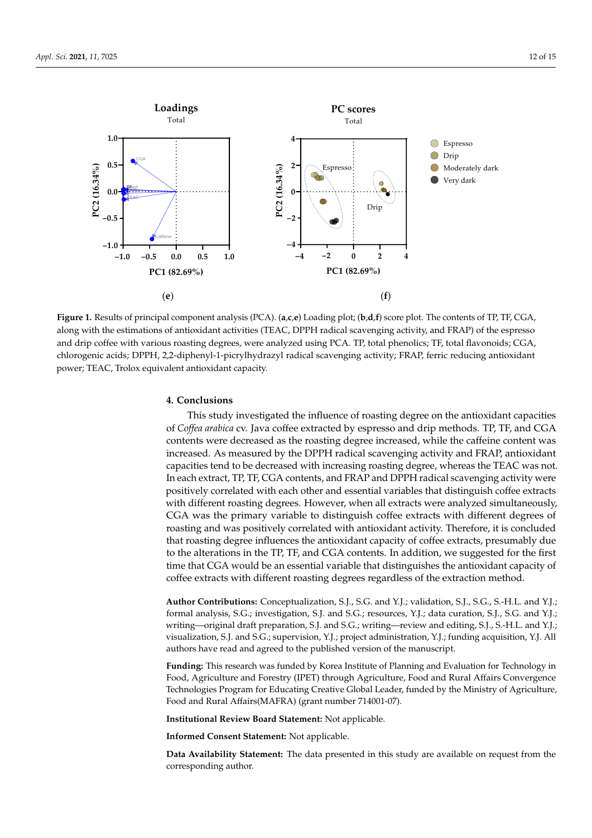**1.0**

**Loadings** Total



<span id="page-11-0"></span>

Figure 1. Results of principal component analysis (PCA). (a,c,e) Loading plot; (b,d,f) score plot. The contents of TP, TF, CGA, along with the estimations of antioxidant activities (TEAC, DPPH radical scavenging activity, and FRAP) of the espresso espace  $\epsilon$  and drip coffee with various roasting degrees, were analyzed using PCA. TP, total phenolics; TF, total flavonoids;  $CCA$ and drip coffee with various roasting degrees, were analyzed using PCA. TP, total phenolics; TF, total flavonoids; CGA, chlorogenic acids; DPPH, 2,2-diphenyl-1-picrylhydrazyl radical scavenging activity; FRAP, ferric reducing antioxidant power; TEAC, Trolox equivalent antioxidant capacity.

# **4. Conclusions**

This study investigated the influence of roasting degree on the antioxidant capacities of *Coffea arabica* cv. Java coffee extracted by espresso and drip methods. TP, TF, and CGA contents were decreased as the roasting degree increased, while the caffeine content was increased. As measured by the DPPH radical scavenging activity and FRAP, antioxidant capacities tend to be decreased with increasing roasting degree, whereas the TEAC was not. In each extract, TP, TF, CGA contents, and FRAP and DPPH radical scavenging activity were positively correlated with each other and essential variables that distinguish coffee extracts with different roasting degrees. However, when all extracts were analyzed simultaneously, CGA was the primary variable to distinguish coffee extracts with different degrees of roasting and was positively correlated with antioxidant activity. Therefore, it is concluded that roasting degree influences the antioxidant capacity of coffee extracts, presumably due to the alterations in the TP, TF, and CGA contents. In addition, we suggested for the first time that CGA would be an essential variable that distinguishes the antioxidant capacity of coffee extracts with different roasting degrees regardless of the extraction method.

**Author Contributions:** Conceptualization, S.J., S.G. and Y.J.; validation, S.J., S.G., S.-H.L. and Y.J.; formal analysis, S.G.; investigation, S.J. and S.G.; resources, Y.J.; data curation, S.J., S.G. and Y.J.; writing—original draft preparation, S.J. and S.G.; writing—review and editing, S.J., S.-H.L. and Y.J.; visualization, S.J. and S.G.; supervision, Y.J.; project administration, Y.J.; funding acquisition, Y.J. All authors have read and agreed to the published version of the manuscript.

**Funding:** This research was funded by Korea Institute of Planning and Evaluation for Technology in Food, Agriculture and Forestry (IPET) through Agriculture, Food and Rural Affairs Convergence Technologies Program for Educating Creative Global Leader, funded by the Ministry of Agriculture, Food and Rural Affairs(MAFRA) (grant number 714001-07).

**Institutional Review Board Statement:** Not applicable.

**Informed Consent Statement:** Not applicable.

**Data Availability Statement:** The data presented in this study are available on request from the corresponding author.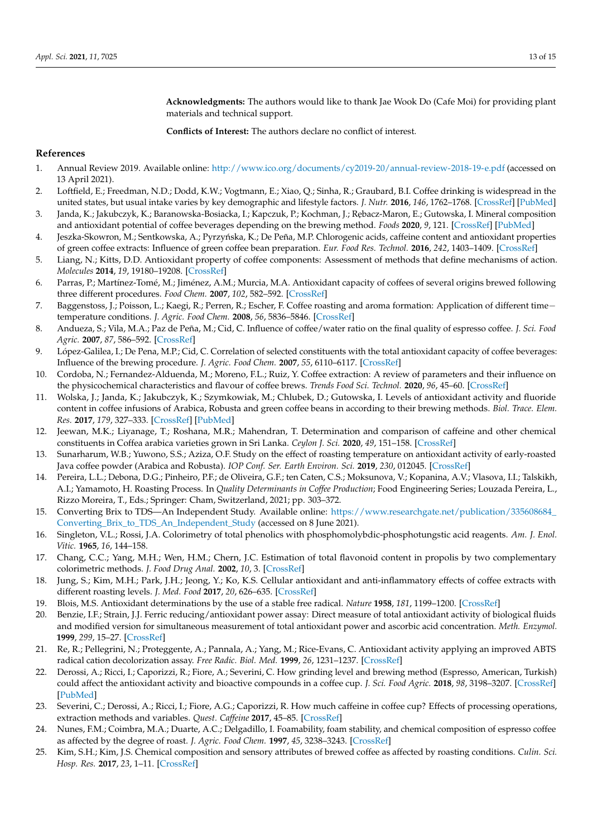**Acknowledgments:** The authors would like to thank Jae Wook Do (Cafe Moi) for providing plant materials and technical support.

**Conflicts of Interest:** The authors declare no conflict of interest.

# **References**

- <span id="page-12-0"></span>1. Annual Review 2019. Available online: <http://www.ico.org/documents/cy2019-20/annual-review-2018-19-e.pdf> (accessed on 13 April 2021).
- <span id="page-12-1"></span>2. Loftfield, E.; Freedman, N.D.; Dodd, K.W.; Vogtmann, E.; Xiao, Q.; Sinha, R.; Graubard, B.I. Coffee drinking is widespread in the united states, but usual intake varies by key demographic and lifestyle factors. *J. Nutr.* **2016**, *146*, 1762–1768. [\[CrossRef\]](http://doi.org/10.3945/jn.116.233940) [\[PubMed\]](http://www.ncbi.nlm.nih.gov/pubmed/27489008)
- <span id="page-12-2"></span>3. Janda, K.; Jakubczyk, K.; Baranowska-Bosiacka, I.; Kapczuk, P.; Kochman, J.; Rębacz-Maron, E.; Gutowska, I. Mineral composition and antioxidant potential of coffee beverages depending on the brewing method. *Foods* **2020**, *9*, 121. [\[CrossRef\]](http://doi.org/10.3390/foods9020121) [\[PubMed\]](http://www.ncbi.nlm.nih.gov/pubmed/31979386)
- <span id="page-12-3"></span>4. Jeszka-Skowron, M.; Sentkowska, A.; Pyrzyńska, K.; De Peña, M.P. Chlorogenic acids, caffeine content and antioxidant properties of green coffee extracts: Influence of green coffee bean preparation. *Eur. Food Res. Technol.* **2016**, *242*, 1403–1409. [\[CrossRef\]](http://doi.org/10.1007/s00217-016-2643-y)
- <span id="page-12-4"></span>5. Liang, N.; Kitts, D.D. Antioxidant property of coffee components: Assessment of methods that define mechanisms of action. *Molecules* **2014**, *19*, 19180–19208. [\[CrossRef\]](http://doi.org/10.3390/molecules191119180)
- <span id="page-12-5"></span>6. Parras, P.; Martínez-Tomé, M.; Jiménez, A.M.; Murcia, M.A. Antioxidant capacity of coffees of several origins brewed following three different procedures. *Food Chem.* **2007**, *102*, 582–592. [\[CrossRef\]](http://doi.org/10.1016/j.foodchem.2006.05.037)
- <span id="page-12-6"></span>7. Baggenstoss, J.; Poisson, L.; Kaegi, R.; Perren, R.; Escher, F. Coffee roasting and aroma formation: Application of different time− temperature conditions. *J. Agric. Food Chem.* **2008**, *56*, 5836–5846. [\[CrossRef\]](http://doi.org/10.1021/jf800327j)
- <span id="page-12-7"></span>8. Andueza, S.; Vila, M.A.; Paz de Peña, M.; Cid, C. Influence of coffee/water ratio on the final quality of espresso coffee. *J. Sci. Food Agric.* **2007**, *87*, 586–592. [\[CrossRef\]](http://doi.org/10.1002/jsfa.2720)
- <span id="page-12-8"></span>9. López-Galilea, I.; De Pena, M.P.; Cid, C. Correlation of selected constituents with the total antioxidant capacity of coffee beverages: Influence of the brewing procedure. *J. Agric. Food Chem.* **2007**, *55*, 6110–6117. [\[CrossRef\]](http://doi.org/10.1021/jf070779x)
- <span id="page-12-9"></span>10. Cordoba, N.; Fernandez-Alduenda, M.; Moreno, F.L.; Ruiz, Y. Coffee extraction: A review of parameters and their influence on the physicochemical characteristics and flavour of coffee brews. *Trends Food Sci. Technol.* **2020**, *96*, 45–60. [\[CrossRef\]](http://doi.org/10.1016/j.tifs.2019.12.004)
- <span id="page-12-10"></span>11. Wolska, J.; Janda, K.; Jakubczyk, K.; Szymkowiak, M.; Chlubek, D.; Gutowska, I. Levels of antioxidant activity and fluoride content in coffee infusions of Arabica, Robusta and green coffee beans in according to their brewing methods. *Biol. Trace. Elem. Res.* **2017**, *179*, 327–333. [\[CrossRef\]](http://doi.org/10.1007/s12011-017-0963-9) [\[PubMed\]](http://www.ncbi.nlm.nih.gov/pubmed/28229386)
- <span id="page-12-11"></span>12. Jeewan, M.K.; Liyanage, T.; Roshana, M.R.; Mahendran, T. Determination and comparison of caffeine and other chemical constituents in Coffea arabica varieties grown in Sri Lanka. *Ceylon J. Sci.* **2020**, *49*, 151–158. [\[CrossRef\]](http://doi.org/10.4038/cjs.v49i2.7735)
- <span id="page-12-12"></span>13. Sunarharum, W.B.; Yuwono, S.S.; Aziza, O.F. Study on the effect of roasting temperature on antioxidant activity of early-roasted Java coffee powder (Arabica and Robusta). *IOP Conf. Ser. Earth Environ. Sci.* **2019**, *230*, 012045. [\[CrossRef\]](http://doi.org/10.1088/1755-1315/230/1/012045)
- <span id="page-12-13"></span>14. Pereira, L.L.; Debona, D.G.; Pinheiro, P.F.; de Oliveira, G.F.; ten Caten, C.S.; Moksunova, V.; Kopanina, A.V.; Vlasova, I.I.; Talskikh, A.I.; Yamamoto, H. Roasting Process. In *Quality Determinants in Coffee Production*; Food Engineering Series; Louzada Pereira, L., Rizzo Moreira, T., Eds.; Springer: Cham, Switzerland, 2021; pp. 303–372.
- <span id="page-12-14"></span>15. Converting Brix to TDS—An Independent Study. Available online: [https://www.researchgate.net/publication/335608684\\_](https://www.researchgate.net/publication/335608684_Converting_Brix_to_TDS_An_Independent_Study) [Converting\\_Brix\\_to\\_TDS\\_An\\_Independent\\_Study](https://www.researchgate.net/publication/335608684_Converting_Brix_to_TDS_An_Independent_Study) (accessed on 8 June 2021).
- <span id="page-12-15"></span>16. Singleton, V.L.; Rossi, J.A. Colorimetry of total phenolics with phosphomolybdic-phosphotungstic acid reagents. *Am. J. Enol. Vitic.* **1965**, *16*, 144–158.
- <span id="page-12-16"></span>17. Chang, C.C.; Yang, M.H.; Wen, H.M.; Chern, J.C. Estimation of total flavonoid content in propolis by two complementary colorimetric methods. *J. Food Drug Anal.* **2002**, *10*, 3. [\[CrossRef\]](http://doi.org/10.38212/2224-6614.2748)
- <span id="page-12-17"></span>18. Jung, S.; Kim, M.H.; Park, J.H.; Jeong, Y.; Ko, K.S. Cellular antioxidant and anti-inflammatory effects of coffee extracts with different roasting levels. *J. Med. Food* **2017**, *20*, 626–635. [\[CrossRef\]](http://doi.org/10.1089/jmf.2017.3935)
- <span id="page-12-18"></span>19. Blois, M.S. Antioxidant determinations by the use of a stable free radical. *Nature* **1958**, *181*, 1199–1200. [\[CrossRef\]](http://doi.org/10.1038/1811199a0)
- <span id="page-12-19"></span>20. Benzie, I.F.; Strain, J.J. Ferric reducing/antioxidant power assay: Direct measure of total antioxidant activity of biological fluids and modified version for simultaneous measurement of total antioxidant power and ascorbic acid concentration. *Meth. Enzymol.* **1999**, *299*, 15–27. [\[CrossRef\]](http://doi.org/10.1016/s0076-6879(99)99005-5)
- <span id="page-12-20"></span>21. Re, R.; Pellegrini, N.; Proteggente, A.; Pannala, A.; Yang, M.; Rice-Evans, C. Antioxidant activity applying an improved ABTS radical cation decolorization assay. *Free Radic. Biol. Med.* **1999**, *26*, 1231–1237. [\[CrossRef\]](http://doi.org/10.1016/S0891-5849(98)00315-3)
- <span id="page-12-21"></span>22. Derossi, A.; Ricci, I.; Caporizzi, R.; Fiore, A.; Severini, C. How grinding level and brewing method (Espresso, American, Turkish) could affect the antioxidant activity and bioactive compounds in a coffee cup. *J. Sci. Food Agric.* **2018**, *98*, 3198–3207. [\[CrossRef\]](http://doi.org/10.1002/jsfa.8826) [\[PubMed\]](http://www.ncbi.nlm.nih.gov/pubmed/29230816)
- <span id="page-12-22"></span>23. Severini, C.; Derossi, A.; Ricci, I.; Fiore, A.G.; Caporizzi, R. How much caffeine in coffee cup? Effects of processing operations, extraction methods and variables. *Quest. Caffeine* **2017**, 45–85. [\[CrossRef\]](http://doi.org/10.5772/INTECHOPEN.69002)
- <span id="page-12-23"></span>24. Nunes, F.M.; Coimbra, M.A.; Duarte, A.C.; Delgadillo, I. Foamability, foam stability, and chemical composition of espresso coffee as affected by the degree of roast. *J. Agric. Food Chem.* **1997**, *45*, 3238–3243. [\[CrossRef\]](http://doi.org/10.1021/jf970009t)
- <span id="page-12-24"></span>25. Kim, S.H.; Kim, J.S. Chemical composition and sensory attributes of brewed coffee as affected by roasting conditions. *Culin. Sci. Hosp. Res.* **2017**, *23*, 1–11. [\[CrossRef\]](http://doi.org/10.20878/cshr.2017.23.5.001)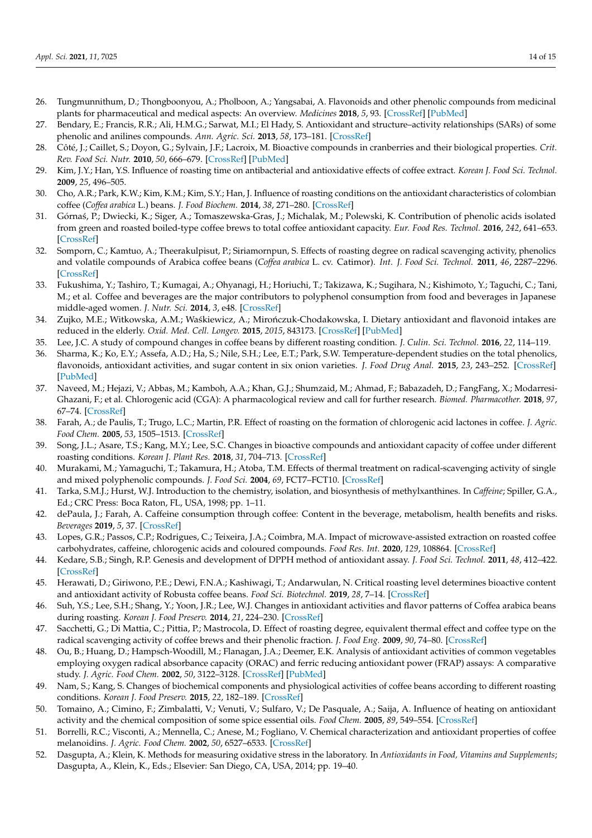- <span id="page-13-0"></span>26. Tungmunnithum, D.; Thongboonyou, A.; Pholboon, A.; Yangsabai, A. Flavonoids and other phenolic compounds from medicinal plants for pharmaceutical and medical aspects: An overview. *Medicines* **2018**, *5*, 93. [\[CrossRef\]](http://doi.org/10.3390/medicines5030093) [\[PubMed\]](http://www.ncbi.nlm.nih.gov/pubmed/30149600)
- <span id="page-13-1"></span>27. Bendary, E.; Francis, R.R.; Ali, H.M.G.; Sarwat, M.I.; El Hady, S. Antioxidant and structure–activity relationships (SARs) of some phenolic and anilines compounds. *Ann. Agric. Sci.* **2013**, *58*, 173–181. [\[CrossRef\]](http://doi.org/10.1016/j.aoas.2013.07.002)
- <span id="page-13-2"></span>28. Côté, J.; Caillet, S.; Doyon, G.; Sylvain, J.F.; Lacroix, M. Bioactive compounds in cranberries and their biological properties. *Crit. Rev. Food Sci. Nutr.* **2010**, *50*, 666–679. [\[CrossRef\]](http://doi.org/10.1080/10408390903044107) [\[PubMed\]](http://www.ncbi.nlm.nih.gov/pubmed/20694928)
- <span id="page-13-3"></span>29. Kim, J.Y.; Han, Y.S. Influence of roasting time on antibacterial and antioxidative effects of coffee extract. *Korean J. Food Sci. Technol.* **2009**, *25*, 496–505.
- <span id="page-13-4"></span>30. Cho, A.R.; Park, K.W.; Kim, K.M.; Kim, S.Y.; Han, J. Influence of roasting conditions on the antioxidant characteristics of colombian coffee (*Coffea arabica* L.) beans. *J. Food Biochem.* **2014**, *38*, 271–280. [\[CrossRef\]](http://doi.org/10.1111/jfbc.12045)
- <span id="page-13-5"></span>31. Górna´s, P.; Dwiecki, K.; Siger, A.; Tomaszewska-Gras, J.; Michalak, M.; Polewski, K. Contribution of phenolic acids isolated from green and roasted boiled-type coffee brews to total coffee antioxidant capacity. *Eur. Food Res. Technol.* **2016**, *242*, 641–653. [\[CrossRef\]](http://doi.org/10.1007/s00217-015-2572-1)
- <span id="page-13-6"></span>32. Somporn, C.; Kamtuo, A.; Theerakulpisut, P.; Siriamornpun, S. Effects of roasting degree on radical scavenging activity, phenolics and volatile compounds of Arabica coffee beans (*Coffea arabica* L. cv. Catimor). *Int. J. Food Sci. Technol.* **2011**, *46*, 2287–2296. [\[CrossRef\]](http://doi.org/10.1111/j.1365-2621.2011.02748.x)
- <span id="page-13-7"></span>33. Fukushima, Y.; Tashiro, T.; Kumagai, A.; Ohyanagi, H.; Horiuchi, T.; Takizawa, K.; Sugihara, N.; Kishimoto, Y.; Taguchi, C.; Tani, M.; et al. Coffee and beverages are the major contributors to polyphenol consumption from food and beverages in Japanese middle-aged women. *J. Nutr. Sci.* **2014**, *3*, e48. [\[CrossRef\]](http://doi.org/10.1017/jns.2014.19)
- <span id="page-13-8"></span>34. Zujko, M.E.; Witkowska, A.M.; Waśkiewicz, A.; Mirończuk-Chodakowska, I. Dietary antioxidant and flavonoid intakes are reduced in the elderly. *Oxid. Med. Cell. Longev.* **2015**, *2015*, 843173. [\[CrossRef\]](http://doi.org/10.1155/2015/843173) [\[PubMed\]](http://www.ncbi.nlm.nih.gov/pubmed/26236427)
- <span id="page-13-9"></span>35. Lee, J.C. A study of compound changes in coffee beans by different roasting condition. *J. Culin. Sci. Technol.* **2016**, *22*, 114–119.
- <span id="page-13-10"></span>36. Sharma, K.; Ko, E.Y.; Assefa, A.D.; Ha, S.; Nile, S.H.; Lee, E.T.; Park, S.W. Temperature-dependent studies on the total phenolics, flavonoids, antioxidant activities, and sugar content in six onion varieties. *J. Food Drug Anal.* **2015**, *23*, 243–252. [\[CrossRef\]](http://doi.org/10.1016/j.jfda.2014.10.005) [\[PubMed\]](http://www.ncbi.nlm.nih.gov/pubmed/28911379)
- <span id="page-13-11"></span>37. Naveed, M.; Hejazi, V.; Abbas, M.; Kamboh, A.A.; Khan, G.J.; Shumzaid, M.; Ahmad, F.; Babazadeh, D.; FangFang, X.; Modarresi-Ghazani, F.; et al. Chlorogenic acid (CGA): A pharmacological review and call for further research. *Biomed. Pharmacother.* **2018**, *97*, 67–74. [\[CrossRef\]](http://doi.org/10.1016/j.biopha.2017.10.064)
- <span id="page-13-12"></span>38. Farah, A.; de Paulis, T.; Trugo, L.C.; Martin, P.R. Effect of roasting on the formation of chlorogenic acid lactones in coffee. *J. Agric. Food Chem.* **2005**, *53*, 1505–1513. [\[CrossRef\]](http://doi.org/10.1021/jf048701t)
- <span id="page-13-13"></span>39. Song, J.L.; Asare, T.S.; Kang, M.Y.; Lee, S.C. Changes in bioactive compounds and antioxidant capacity of coffee under different roasting conditions. *Korean J. Plant Res.* **2018**, *31*, 704–713. [\[CrossRef\]](http://doi.org/10.7732/kjpr.2018.31.6.704)
- <span id="page-13-14"></span>40. Murakami, M.; Yamaguchi, T.; Takamura, H.; Atoba, T.M. Effects of thermal treatment on radical-scavenging activity of single and mixed polyphenolic compounds. *J. Food Sci.* **2004**, *69*, FCT7–FCT10. [\[CrossRef\]](http://doi.org/10.1111/j.1365-2621.2004.tb17848.x)
- <span id="page-13-15"></span>41. Tarka, S.M.J.; Hurst, W.J. Introduction to the chemistry, isolation, and biosynthesis of methylxanthines. In *Caffeine*; Spiller, G.A., Ed.; CRC Press: Boca Raton, FL, USA, 1998; pp. 1–11.
- <span id="page-13-16"></span>42. dePaula, J.; Farah, A. Caffeine consumption through coffee: Content in the beverage, metabolism, health benefits and risks. *Beverages* **2019**, *5*, 37. [\[CrossRef\]](http://doi.org/10.3390/beverages5020037)
- <span id="page-13-17"></span>43. Lopes, G.R.; Passos, C.P.; Rodrigues, C.; Teixeira, J.A.; Coimbra, M.A. Impact of microwave-assisted extraction on roasted coffee carbohydrates, caffeine, chlorogenic acids and coloured compounds. *Food Res. Int.* **2020**, *129*, 108864. [\[CrossRef\]](http://doi.org/10.1016/j.foodres.2019.108864)
- <span id="page-13-18"></span>44. Kedare, S.B.; Singh, R.P. Genesis and development of DPPH method of antioxidant assay. *J. Food Sci. Technol.* **2011**, *48*, 412–422. [\[CrossRef\]](http://doi.org/10.1007/s13197-011-0251-1)
- <span id="page-13-19"></span>45. Herawati, D.; Giriwono, P.E.; Dewi, F.N.A.; Kashiwagi, T.; Andarwulan, N. Critical roasting level determines bioactive content and antioxidant activity of Robusta coffee beans. *Food Sci. Biotechnol.* **2019**, *28*, 7–14. [\[CrossRef\]](http://doi.org/10.1007/s10068-018-0442-x)
- <span id="page-13-20"></span>46. Suh, Y.S.; Lee, S.H.; Shang, Y.; Yoon, J.R.; Lee, W.J. Changes in antioxidant activities and flavor patterns of Coffea arabica beans during roasting. *Korean J. Food Preserv.* **2014**, *21*, 224–230. [\[CrossRef\]](http://doi.org/10.11002/kjfp.2014.21.2.224)
- <span id="page-13-21"></span>47. Sacchetti, G.; Di Mattia, C.; Pittia, P.; Mastrocola, D. Effect of roasting degree, equivalent thermal effect and coffee type on the radical scavenging activity of coffee brews and their phenolic fraction. *J. Food Eng.* **2009**, *90*, 74–80. [\[CrossRef\]](http://doi.org/10.1016/j.jfoodeng.2008.06.005)
- <span id="page-13-22"></span>48. Ou, B.; Huang, D.; Hampsch-Woodill, M.; Flanagan, J.A.; Deemer, E.K. Analysis of antioxidant activities of common vegetables employing oxygen radical absorbance capacity (ORAC) and ferric reducing antioxidant power (FRAP) assays: A comparative study. *J. Agric. Food Chem.* **2002**, *50*, 3122–3128. [\[CrossRef\]](http://doi.org/10.1021/jf0116606) [\[PubMed\]](http://www.ncbi.nlm.nih.gov/pubmed/12009973)
- <span id="page-13-23"></span>49. Nam, S.; Kang, S. Changes of biochemical components and physiological activities of coffee beans according to different roasting conditions. *Korean J. Food Preserv.* **2015**, *22*, 182–189. [\[CrossRef\]](http://doi.org/10.11002/kjfp.2015.22.2.182)
- <span id="page-13-24"></span>50. Tomaino, A.; Cimino, F.; Zimbalatti, V.; Venuti, V.; Sulfaro, V.; De Pasquale, A.; Saija, A. Influence of heating on antioxidant activity and the chemical composition of some spice essential oils. *Food Chem.* **2005**, *89*, 549–554. [\[CrossRef\]](http://doi.org/10.1016/j.foodchem.2004.03.011)
- <span id="page-13-25"></span>51. Borrelli, R.C.; Visconti, A.; Mennella, C.; Anese, M.; Fogliano, V. Chemical characterization and antioxidant properties of coffee melanoidins. *J. Agric. Food Chem.* **2002**, *50*, 6527–6533. [\[CrossRef\]](http://doi.org/10.1021/jf025686o)
- <span id="page-13-26"></span>52. Dasgupta, A.; Klein, K. Methods for measuring oxidative stress in the laboratory. In *Antioxidants in Food, Vitamins and Supplements*; Dasgupta, A., Klein, K., Eds.; Elsevier: San Diego, CA, USA, 2014; pp. 19–40.